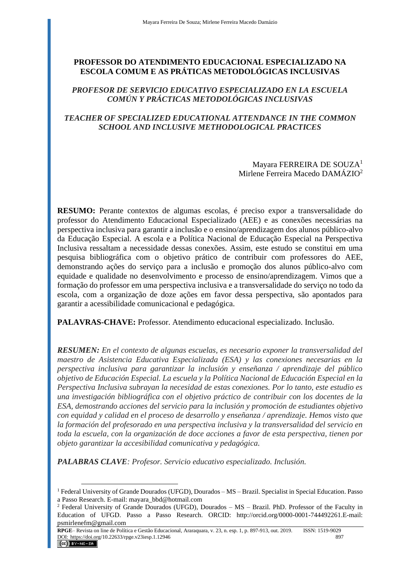# **PROFESSOR DO ATENDIMENTO EDUCACIONAL ESPECIALIZADO NA ESCOLA COMUM E AS PRÁTICAS METODOLÓGICAS INCLUSIVAS**

## *PROFESOR DE SERVICIO EDUCATIVO ESPECIALIZADO EN LA ESCUELA COMÚN Y PRÁCTICAS METODOLÓGICAS INCLUSIVAS*

# *TEACHER OF SPECIALIZED EDUCATIONAL ATTENDANCE IN THE COMMON SCHOOL AND INCLUSIVE METHODOLOGICAL PRACTICES*

### Mayara FERREIRA DE SOUZA<sup>1</sup> Mirlene Ferreira Macedo DAMÁZIO<sup>2</sup>

**RESUMO:** Perante contextos de algumas escolas, é preciso expor a transversalidade do professor do Atendimento Educacional Especializado (AEE) e as conexões necessárias na perspectiva inclusiva para garantir a inclusão e o ensino/aprendizagem dos alunos público-alvo da Educação Especial. A escola e a Política Nacional de Educação Especial na Perspectiva Inclusiva ressaltam a necessidade dessas conexões. Assim, este estudo se constitui em uma pesquisa bibliográfica com o objetivo prático de contribuir com professores do AEE, demonstrando ações do serviço para a inclusão e promoção dos alunos público-alvo com equidade e qualidade no desenvolvimento e processo de ensino/aprendizagem. Vimos que a formação do professor em uma perspectiva inclusiva e a transversalidade do serviço no todo da escola, com a organização de doze ações em favor dessa perspectiva, são apontados para garantir a acessibilidade comunicacional e pedagógica.

**PALAVRAS-CHAVE:** Professor. Atendimento educacional especializado. Inclusão.

*RESUMEN: En el contexto de algunas escuelas, es necesario exponer la transversalidad del maestro de Asistencia Educativa Especializada (ESA) y las conexiones necesarias en la perspectiva inclusiva para garantizar la inclusión y enseñanza / aprendizaje del público objetivo de Educación Especial. La escuela y la Política Nacional de Educación Especial en la Perspectiva Inclusiva subrayan la necesidad de estas conexiones. Por lo tanto, este estudio es una investigación bibliográfica con el objetivo práctico de contribuir con los docentes de la ESA, demostrando acciones del servicio para la inclusión y promoción de estudiantes objetivo con equidad y calidad en el proceso de desarrollo y enseñanza / aprendizaje. Hemos visto que la formación del profesorado en una perspectiva inclusiva y la transversalidad del servicio en toda la escuela, con la organización de doce acciones a favor de esta perspectiva, tienen por objeto garantizar la accesibilidad comunicativa y pedagógica.* 

*PALABRAS CLAVE: Profesor. Servicio educativo especializado. Inclusión.*

<sup>1</sup> Federal University of Grande Dourados (UFGD), Dourados – MS – Brazil. Specialist in Special Education. Passo a Passo Research. E-mail: mayara\_bbd@hotmail.com

<sup>&</sup>lt;sup>2</sup> Federal University of Grande Dourados (UFGD), Dourados –  $MS - Brazil$ . PhD. Professor of the Faculty in Education of UFGD. Passo a Passo Research. ORCID: http://orcid.org/0000-0001-744492261.E-mail: psmirlenefm@gmail.com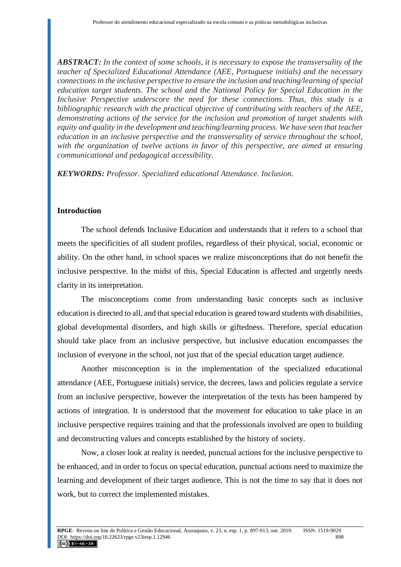*ABSTRACT: In the context of some schools, it is necessary to expose the transversality of the teacher of Specialized Educational Attendance (AEE, Portuguese initials) and the necessary connections in the inclusive perspective to ensure the inclusion and teaching/learning of special education target students. The school and the National Policy for Special Education in the Inclusive Perspective underscore the need for these connections. Thus, this study is a bibliographic research with the practical objective of contributing with teachers of the AEE, demonstrating actions of the service for the inclusion and promotion of target students with equity and quality in the development and teaching/learning process. We have seen that teacher education in an inclusive perspective and the transversality of service throughout the school, with the organization of twelve actions in favor of this perspective, are aimed at ensuring communicational and pedagogical accessibility.*

*KEYWORDS: Professor. Specialized educational Attendance. Inclusion.*

### **Introduction**

The school defends Inclusive Education and understands that it refers to a school that meets the specificities of all student profiles, regardless of their physical, social, economic or ability. On the other hand, in school spaces we realize misconceptions that do not benefit the inclusive perspective. In the midst of this, Special Education is affected and urgently needs clarity in its interpretation.

The misconceptions come from understanding basic concepts such as inclusive education is directed to all, and that special education is geared toward students with disabilities, global developmental disorders, and high skills or giftedness. Therefore, special education should take place from an inclusive perspective, but inclusive education encompasses the inclusion of everyone in the school, not just that of the special education target audience.

Another misconception is in the implementation of the specialized educational attendance (AEE, Portuguese initials) service, the decrees, laws and policies regulate a service from an inclusive perspective, however the interpretation of the texts has been hampered by actions of integration. It is understood that the movement for education to take place in an inclusive perspective requires training and that the professionals involved are open to building and deconstructing values and concepts established by the history of society.

Now, a closer look at reality is needed, punctual actions for the inclusive perspective to be enhanced, and in order to focus on special education, punctual actions need to maximize the learning and development of their target audience. This is not the time to say that it does not work, but to correct the implemented mistakes.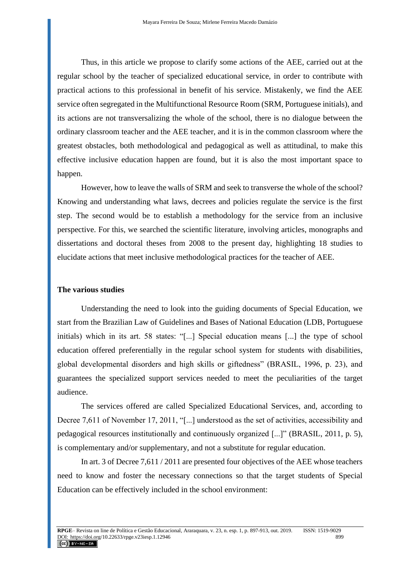Thus, in this article we propose to clarify some actions of the AEE, carried out at the regular school by the teacher of specialized educational service, in order to contribute with practical actions to this professional in benefit of his service. Mistakenly, we find the AEE service often segregated in the Multifunctional Resource Room (SRM, Portuguese initials), and its actions are not transversalizing the whole of the school, there is no dialogue between the ordinary classroom teacher and the AEE teacher, and it is in the common classroom where the greatest obstacles, both methodological and pedagogical as well as attitudinal, to make this effective inclusive education happen are found, but it is also the most important space to happen.

However, how to leave the walls of SRM and seek to transverse the whole of the school? Knowing and understanding what laws, decrees and policies regulate the service is the first step. The second would be to establish a methodology for the service from an inclusive perspective. For this, we searched the scientific literature, involving articles, monographs and dissertations and doctoral theses from 2008 to the present day, highlighting 18 studies to elucidate actions that meet inclusive methodological practices for the teacher of AEE.

#### **The various studies**

Understanding the need to look into the guiding documents of Special Education, we start from the Brazilian Law of Guidelines and Bases of National Education (LDB, Portuguese initials) which in its art. 58 states: "[...] Special education means [...] the type of school education offered preferentially in the regular school system for students with disabilities, global developmental disorders and high skills or giftedness" (BRASIL, 1996, p. 23), and guarantees the specialized support services needed to meet the peculiarities of the target audience.

The services offered are called Specialized Educational Services, and, according to Decree 7,611 of November 17, 2011, "[...] understood as the set of activities, accessibility and pedagogical resources institutionally and continuously organized [...]" (BRASIL, 2011, p. 5), is complementary and/or supplementary, and not a substitute for regular education.

In art. 3 of Decree 7,611 / 2011 are presented four objectives of the AEE whose teachers need to know and foster the necessary connections so that the target students of Special Education can be effectively included in the school environment: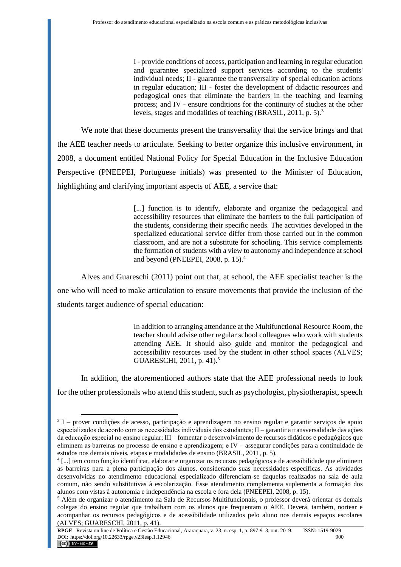I - provide conditions of access, participation and learning in regular education and guarantee specialized support services according to the students' individual needs; II - guarantee the transversality of special education actions in regular education; III - foster the development of didactic resources and pedagogical ones that eliminate the barriers in the teaching and learning process; and IV - ensure conditions for the continuity of studies at the other levels, stages and modalities of teaching (BRASIL, 2011, p. 5).<sup>3</sup>

We note that these documents present the transversality that the service brings and that the AEE teacher needs to articulate. Seeking to better organize this inclusive environment, in 2008, a document entitled National Policy for Special Education in the Inclusive Education Perspective (PNEEPEI, Portuguese initials) was presented to the Minister of Education, highlighting and clarifying important aspects of AEE, a service that:

> [...] function is to identify, elaborate and organize the pedagogical and accessibility resources that eliminate the barriers to the full participation of the students, considering their specific needs. The activities developed in the specialized educational service differ from those carried out in the common classroom, and are not a substitute for schooling. This service complements the formation of students with a view to autonomy and independence at school and beyond (PNEEPEI, 2008, p. 15).<sup>4</sup>

Alves and Guareschi (2011) point out that, at school, the AEE specialist teacher is the one who will need to make articulation to ensure movements that provide the inclusion of the students target audience of special education:

> In addition to arranging attendance at the Multifunctional Resource Room, the teacher should advise other regular school colleagues who work with students attending AEE. It should also guide and monitor the pedagogical and accessibility resources used by the student in other school spaces (ALVES; GUARESCHI, 2011, p. 41).<sup>5</sup>

In addition, the aforementioned authors state that the AEE professional needs to look for the other professionals who attend this student, such as psychologist, physiotherapist, speech

<sup>&</sup>lt;sup>3</sup> I – prover condições de acesso, participação e aprendizagem no ensino regular e garantir serviços de apoio especializados de acordo com as necessidades individuais dos estudantes; II – garantir a transversalidade das ações da educação especial no ensino regular; III – fomentar o desenvolvimento de recursos didáticos e pedagógicos que eliminem as barreiras no processo de ensino e aprendizagem; e IV – assegurar condições para a continuidade de estudos nos demais níveis, etapas e modalidades de ensino (BRASIL, 2011, p. 5).

<sup>4</sup> [...] tem como função identificar, elaborar e organizar os recursos pedagógicos e de acessibilidade que eliminem as barreiras para a plena participação dos alunos, considerando suas necessidades específicas. As atividades desenvolvidas no atendimento educacional especializado diferenciam-se daquelas realizadas na sala de aula comum, não sendo substitutivas à escolarização. Esse atendimento complementa suplementa a formação dos alunos com vistas à autonomia e independência na escola e fora dela (PNEEPEI, 2008, p. 15).

<sup>5</sup> Além de organizar o atendimento na Sala de Recursos Multifuncionais, o professor deverá orientar os demais colegas do ensino regular que trabalham com os alunos que frequentam o AEE. Deverá, também, nortear e acompanhar os recursos pedagógicos e de acessibilidade utilizados pelo aluno nos demais espaços escolares (ALVES; GUARESCHI, 2011, p. 41).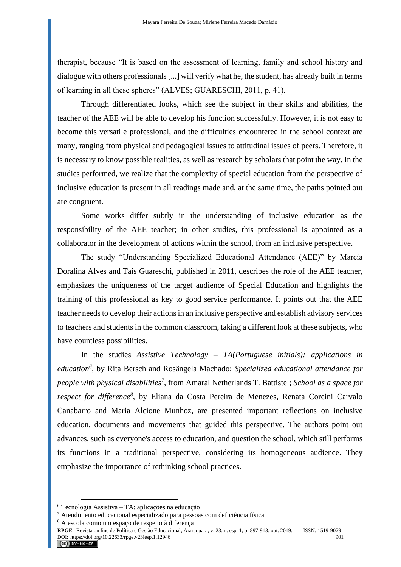therapist, because "It is based on the assessment of learning, family and school history and dialogue with others professionals [...] will verify what he, the student, has already built in terms of learning in all these spheres" (ALVES; GUARESCHI, 2011, p. 41).

Through differentiated looks, which see the subject in their skills and abilities, the teacher of the AEE will be able to develop his function successfully. However, it is not easy to become this versatile professional, and the difficulties encountered in the school context are many, ranging from physical and pedagogical issues to attitudinal issues of peers. Therefore, it is necessary to know possible realities, as well as research by scholars that point the way. In the studies performed, we realize that the complexity of special education from the perspective of inclusive education is present in all readings made and, at the same time, the paths pointed out are congruent.

Some works differ subtly in the understanding of inclusive education as the responsibility of the AEE teacher; in other studies, this professional is appointed as a collaborator in the development of actions within the school, from an inclusive perspective.

The study "Understanding Specialized Educational Attendance (AEE)" by Marcia Doralina Alves and Tais Guareschi, published in 2011, describes the role of the AEE teacher, emphasizes the uniqueness of the target audience of Special Education and highlights the training of this professional as key to good service performance. It points out that the AEE teacher needs to develop their actions in an inclusive perspective and establish advisory services to teachers and students in the common classroom, taking a different look at these subjects, who have countless possibilities.

In the studies *Assistive Technology – TA(Portuguese initials): applications in education<sup>6</sup>* , by Rita Bersch and Rosângela Machado; *Specialized educational attendance for people with physical disabilities<sup>7</sup>* , from Amaral Netherlands T. Battistel; *School as a space for respect for difference<sup>8</sup>* , by Eliana da Costa Pereira de Menezes, Renata Corcini Carvalo Canabarro and Maria Alcione Munhoz, are presented important reflections on inclusive education, documents and movements that guided this perspective. The authors point out advances, such as everyone's access to education, and question the school, which still performs its functions in a traditional perspective, considering its homogeneous audience. They emphasize the importance of rethinking school practices.

<sup>6</sup> Tecnologia Assistiva – TA: aplicações na educação

<sup>7</sup> Atendimento educacional especializado para pessoas com deficiência física

<sup>8</sup> A escola como um espaço de respeito à diferença

**RPGE**– Revista on line de Política e Gestão Educacional, Araraquara, v. 23, n. esp. 1, p. 897-913, out. 2019. ISSN: 1519-9029 DOI: https://doi.org/10.22633/rpge.v23iesp.1.12946 901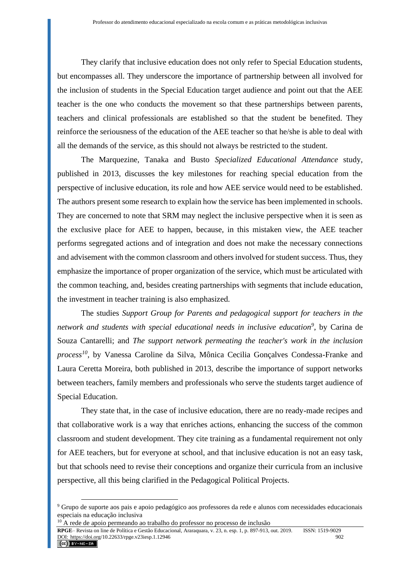They clarify that inclusive education does not only refer to Special Education students, but encompasses all. They underscore the importance of partnership between all involved for the inclusion of students in the Special Education target audience and point out that the AEE teacher is the one who conducts the movement so that these partnerships between parents, teachers and clinical professionals are established so that the student be benefited. They reinforce the seriousness of the education of the AEE teacher so that he/she is able to deal with all the demands of the service, as this should not always be restricted to the student.

The Marquezine, Tanaka and Busto *Specialized Educational Attendance* study, published in 2013, discusses the key milestones for reaching special education from the perspective of inclusive education, its role and how AEE service would need to be established. The authors present some research to explain how the service has been implemented in schools. They are concerned to note that SRM may neglect the inclusive perspective when it is seen as the exclusive place for AEE to happen, because, in this mistaken view, the AEE teacher performs segregated actions and of integration and does not make the necessary connections and advisement with the common classroom and others involved for student success. Thus, they emphasize the importance of proper organization of the service, which must be articulated with the common teaching, and, besides creating partnerships with segments that include education, the investment in teacher training is also emphasized.

The studies *Support Group for Parents and pedagogical support for teachers in the network and students with special educational needs in inclusive education<sup>9</sup>* , by Carina de Souza Cantarelli; and *The support network permeating the teacher's work in the inclusion process<sup>10</sup>*, by Vanessa Caroline da Silva, Mônica Cecilia Gonçalves Condessa-Franke and Laura Ceretta Moreira, both published in 2013, describe the importance of support networks between teachers, family members and professionals who serve the students target audience of Special Education.

They state that, in the case of inclusive education, there are no ready-made recipes and that collaborative work is a way that enriches actions, enhancing the success of the common classroom and student development. They cite training as a fundamental requirement not only for AEE teachers, but for everyone at school, and that inclusive education is not an easy task, but that schools need to revise their conceptions and organize their curricula from an inclusive perspective, all this being clarified in the Pedagogical Political Projects.

<sup>9</sup> Grupo de suporte aos pais e apoio pedagógico aos professores da rede e alunos com necessidades educacionais especiais na educação inclusiva

<sup>&</sup>lt;sup>10</sup> A rede de apoio permeando ao trabalho do professor no processo de inclusão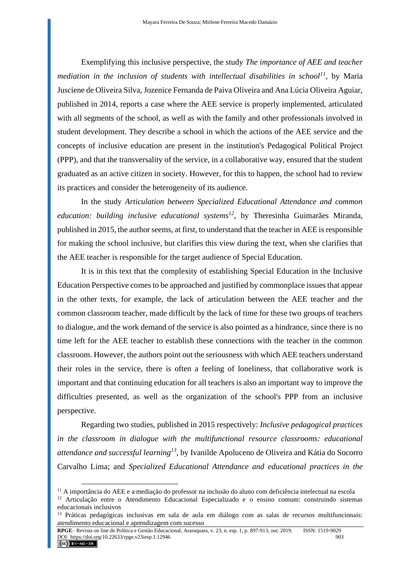Exemplifying this inclusive perspective, the study *The importance of AEE and teacher mediation in the inclusion of students with intellectual disabilities in school*<sup>11</sup>, by Maria Jusciene de Oliveira Silva, Jozenice Fernanda de Paiva Oliveira and Ana Lúcia Oliveira Aguiar, published in 2014, reports a case where the AEE service is properly implemented, articulated with all segments of the school, as well as with the family and other professionals involved in student development. They describe a school in which the actions of the AEE service and the concepts of inclusive education are present in the institution's Pedagogical Political Project (PPP), and that the transversality of the service, in a collaborative way, ensured that the student graduated as an active citizen in society. However, for this to happen, the school had to review its practices and consider the heterogeneity of its audience.

In the study *Articulation between Specialized Educational Attendance and common education: building inclusive educational systems<sup>12</sup>*, by Theresinha Guimarães Miranda, published in 2015, the author seems, at first, to understand that the teacher in AEE is responsible for making the school inclusive, but clarifies this view during the text, when she clarifies that the AEE teacher is responsible for the target audience of Special Education.

It is in this text that the complexity of establishing Special Education in the Inclusive Education Perspective comes to be approached and justified by commonplace issues that appear in the other texts, for example, the lack of articulation between the AEE teacher and the common classroom teacher, made difficult by the lack of time for these two groups of teachers to dialogue, and the work demand of the service is also pointed as a hindrance, since there is no time left for the AEE teacher to establish these connections with the teacher in the common classroom. However, the authors point out the seriousness with which AEE teachers understand their roles in the service, there is often a feeling of loneliness, that collaborative work is important and that continuing education for all teachers is also an important way to improve the difficulties presented, as well as the organization of the school's PPP from an inclusive perspective.

Regarding two studies, published in 2015 respectively: *Inclusive pedagogical practices in the classroom in dialogue with the multifunctional resource classrooms: educational attendance and successful learning<sup>13</sup>*, by Ivanilde Apoluceno de Oliveira and Kátia do Socorro Carvalho Lima; and *Specialized Educational Attendance and educational practices in the* 

<sup>11</sup> A importância do AEE e a mediação do professor na inclusão do aluno com deficiência intelectual na escola

<sup>12</sup> Articulação entre o Atendimento Educacional Especializado e o ensino comum: construindo sistemas educacionais inclusivos

<sup>&</sup>lt;sup>13</sup> Práticas pedagógicas inclusivas em sala de aula em diálogo com as salas de recursos multifuncionais: atendimento educacional e aprendizagem com sucesso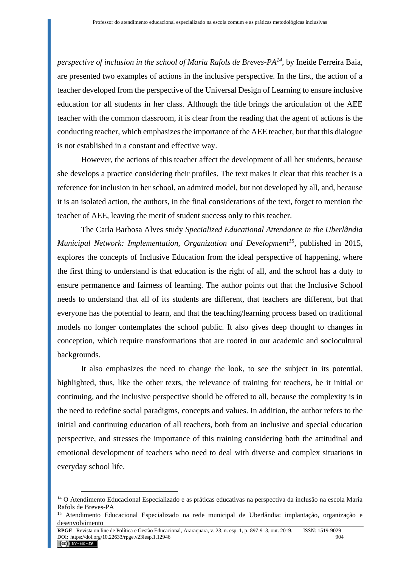*perspective of inclusion in the school of Maria Rafols de Breves-PA<sup>14</sup>*, by Ineide Ferreira Baia, are presented two examples of actions in the inclusive perspective. In the first, the action of a teacher developed from the perspective of the Universal Design of Learning to ensure inclusive education for all students in her class. Although the title brings the articulation of the AEE teacher with the common classroom, it is clear from the reading that the agent of actions is the conducting teacher, which emphasizes the importance of the AEE teacher, but that this dialogue is not established in a constant and effective way.

However, the actions of this teacher affect the development of all her students, because she develops a practice considering their profiles. The text makes it clear that this teacher is a reference for inclusion in her school, an admired model, but not developed by all, and, because it is an isolated action, the authors, in the final considerations of the text, forget to mention the teacher of AEE, leaving the merit of student success only to this teacher.

The Carla Barbosa Alves study *Specialized Educational Attendance in the Uberlândia Municipal Network: Implementation, Organization and Development<sup>15</sup>*, published in 2015, explores the concepts of Inclusive Education from the ideal perspective of happening, where the first thing to understand is that education is the right of all, and the school has a duty to ensure permanence and fairness of learning. The author points out that the Inclusive School needs to understand that all of its students are different, that teachers are different, but that everyone has the potential to learn, and that the teaching/learning process based on traditional models no longer contemplates the school public. It also gives deep thought to changes in conception, which require transformations that are rooted in our academic and sociocultural backgrounds.

It also emphasizes the need to change the look, to see the subject in its potential, highlighted, thus, like the other texts, the relevance of training for teachers, be it initial or continuing, and the inclusive perspective should be offered to all, because the complexity is in the need to redefine social paradigms, concepts and values. In addition, the author refers to the initial and continuing education of all teachers, both from an inclusive and special education perspective, and stresses the importance of this training considering both the attitudinal and emotional development of teachers who need to deal with diverse and complex situations in everyday school life.

<sup>&</sup>lt;sup>14</sup> O Atendimento Educacional Especializado e as práticas educativas na perspectiva da inclusão na escola Maria Rafols de Breves-PA

<sup>15</sup> Atendimento Educacional Especializado na rede municipal de Uberlândia: implantação, organização e desenvolvimento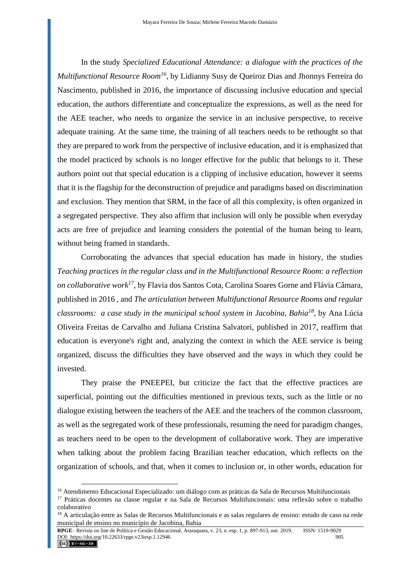In the study *Specialized Educational Attendance: a dialogue with the practices of the Multifunctional Resource Room<sup>16</sup>*, by Lidianny Susy de Queiroz Dias and Jhonnys Ferreira do Nascimento, published in 2016, the importance of discussing inclusive education and special education, the authors differentiate and conceptualize the expressions, as well as the need for the AEE teacher, who needs to organize the service in an inclusive perspective, to receive adequate training. At the same time, the training of all teachers needs to be rethought so that they are prepared to work from the perspective of inclusive education, and it is emphasized that the model practiced by schools is no longer effective for the public that belongs to it. These authors point out that special education is a clipping of inclusive education, however it seems that it is the flagship for the deconstruction of prejudice and paradigms based on discrimination and exclusion. They mention that SRM, in the face of all this complexity, is often organized in a segregated perspective. They also affirm that inclusion will only be possible when everyday acts are free of prejudice and learning considers the potential of the human being to learn, without being framed in standards.

Corroborating the advances that special education has made in history, the studies *Teaching practices in the regular class and in the Multifunctional Resource Room: a reflection on collaborative work<sup>17</sup>*, by Flavia dos Santos Cota, Carolina Soares Gorne and Flávia Câmara, published in 2016 , and *The articulation between Multifunctional Resource Rooms and regular classrooms: a case study in the municipal school system in Jacobina, Bahia<sup>18</sup>*, by Ana Lúcia Oliveira Freitas de Carvalho and Juliana Cristina Salvatori, published in 2017, reaffirm that education is everyone's right and, analyzing the context in which the AEE service is being organized, discuss the difficulties they have observed and the ways in which they could be invested.

They praise the PNEEPEI, but criticize the fact that the effective practices are superficial, pointing out the difficulties mentioned in previous texts, such as the little or no dialogue existing between the teachers of the AEE and the teachers of the common classroom, as well as the segregated work of these professionals, resuming the need for paradigm changes, as teachers need to be open to the development of collaborative work. They are imperative when talking about the problem facing Brazilian teacher education, which reflects on the organization of schools, and that, when it comes to inclusion or, in other words, education for

<sup>16</sup> Atendimento Educacional Especializado: um diálogo com as práticas da Sala de Recursos Multifuncionais

<sup>17</sup> Práticas docentes na classe regular e na Sala de Recursos Multifuncionais: uma reflexão sobre o trabalho colaborativo

<sup>&</sup>lt;sup>18</sup> A articulação entre as Salas de Recursos Multifuncionais e as salas regulares de ensino: estudo de caso na rede municipal de ensino no município de Jacobina, Bahia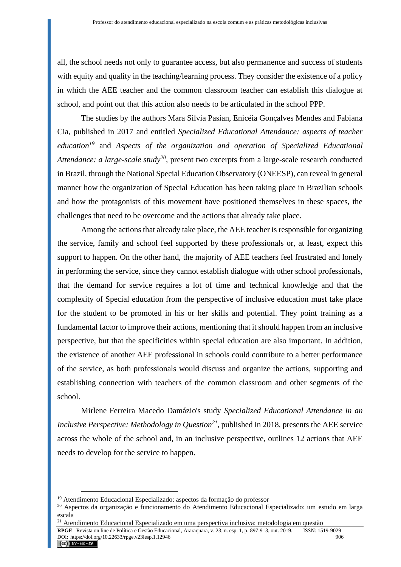all, the school needs not only to guarantee access, but also permanence and success of students with equity and quality in the teaching/learning process. They consider the existence of a policy in which the AEE teacher and the common classroom teacher can establish this dialogue at school, and point out that this action also needs to be articulated in the school PPP.

The studies by the authors Mara Silvia Pasian, Enicéia Gonçalves Mendes and Fabiana Cia, published in 2017 and entitled *Specialized Educational Attendance: aspects of teacher education<sup>19</sup>* and *Aspects of the organization and operation of Specialized Educational Attendance: a large-scale study<sup>20</sup>*, present two excerpts from a large-scale research conducted in Brazil, through the National Special Education Observatory (ONEESP), can reveal in general manner how the organization of Special Education has been taking place in Brazilian schools and how the protagonists of this movement have positioned themselves in these spaces, the challenges that need to be overcome and the actions that already take place.

Among the actions that already take place, the AEE teacher is responsible for organizing the service, family and school feel supported by these professionals or, at least, expect this support to happen. On the other hand, the majority of AEE teachers feel frustrated and lonely in performing the service, since they cannot establish dialogue with other school professionals, that the demand for service requires a lot of time and technical knowledge and that the complexity of Special education from the perspective of inclusive education must take place for the student to be promoted in his or her skills and potential. They point training as a fundamental factor to improve their actions, mentioning that it should happen from an inclusive perspective, but that the specificities within special education are also important. In addition, the existence of another AEE professional in schools could contribute to a better performance of the service, as both professionals would discuss and organize the actions, supporting and establishing connection with teachers of the common classroom and other segments of the school.

Mirlene Ferreira Macedo Damázio's study *Specialized Educational Attendance in an Inclusive Perspective: Methodology in Question<sup>21</sup>*, published in 2018, presents the AEE service across the whole of the school and, in an inclusive perspective, outlines 12 actions that AEE needs to develop for the service to happen.

<sup>19</sup> Atendimento Educacional Especializado: aspectos da formação do professor

<sup>20</sup> Aspectos da organização e funcionamento do Atendimento Educacional Especializado: um estudo em larga escala

<sup>&</sup>lt;sup>21</sup> Atendimento Educacional Especializado em uma perspectiva inclusiva: metodologia em questão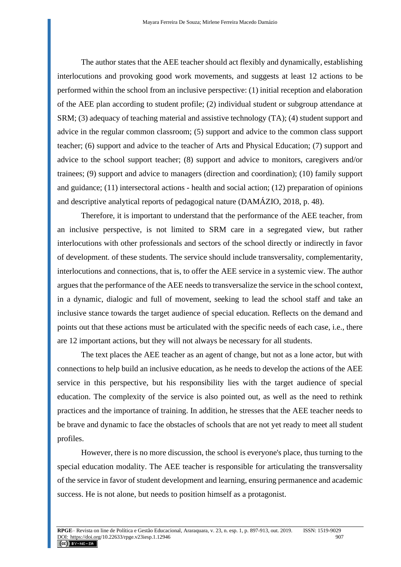The author states that the AEE teacher should act flexibly and dynamically, establishing interlocutions and provoking good work movements, and suggests at least 12 actions to be performed within the school from an inclusive perspective: (1) initial reception and elaboration of the AEE plan according to student profile; (2) individual student or subgroup attendance at SRM; (3) adequacy of teaching material and assistive technology (TA); (4) student support and advice in the regular common classroom; (5) support and advice to the common class support teacher; (6) support and advice to the teacher of Arts and Physical Education; (7) support and advice to the school support teacher; (8) support and advice to monitors, caregivers and/or trainees; (9) support and advice to managers (direction and coordination); (10) family support and guidance; (11) intersectoral actions - health and social action; (12) preparation of opinions and descriptive analytical reports of pedagogical nature (DAMÁZIO, 2018, p. 48).

Therefore, it is important to understand that the performance of the AEE teacher, from an inclusive perspective, is not limited to SRM care in a segregated view, but rather interlocutions with other professionals and sectors of the school directly or indirectly in favor of development. of these students. The service should include transversality, complementarity, interlocutions and connections, that is, to offer the AEE service in a systemic view. The author argues that the performance of the AEE needs to transversalize the service in the school context, in a dynamic, dialogic and full of movement, seeking to lead the school staff and take an inclusive stance towards the target audience of special education. Reflects on the demand and points out that these actions must be articulated with the specific needs of each case, i.e., there are 12 important actions, but they will not always be necessary for all students.

The text places the AEE teacher as an agent of change, but not as a lone actor, but with connections to help build an inclusive education, as he needs to develop the actions of the AEE service in this perspective, but his responsibility lies with the target audience of special education. The complexity of the service is also pointed out, as well as the need to rethink practices and the importance of training. In addition, he stresses that the AEE teacher needs to be brave and dynamic to face the obstacles of schools that are not yet ready to meet all student profiles.

However, there is no more discussion, the school is everyone's place, thus turning to the special education modality. The AEE teacher is responsible for articulating the transversality of the service in favor of student development and learning, ensuring permanence and academic success. He is not alone, but needs to position himself as a protagonist.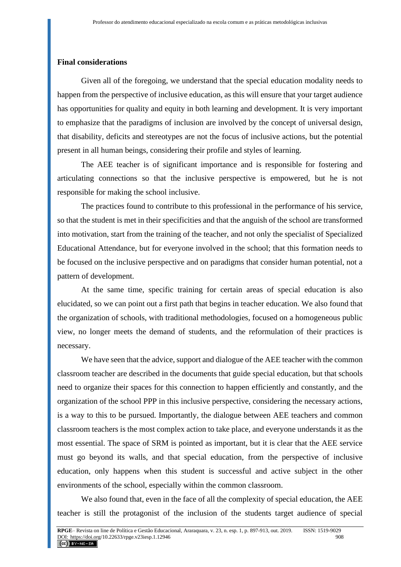#### **Final considerations**

Given all of the foregoing, we understand that the special education modality needs to happen from the perspective of inclusive education, as this will ensure that your target audience has opportunities for quality and equity in both learning and development. It is very important to emphasize that the paradigms of inclusion are involved by the concept of universal design, that disability, deficits and stereotypes are not the focus of inclusive actions, but the potential present in all human beings, considering their profile and styles of learning.

The AEE teacher is of significant importance and is responsible for fostering and articulating connections so that the inclusive perspective is empowered, but he is not responsible for making the school inclusive.

The practices found to contribute to this professional in the performance of his service, so that the student is met in their specificities and that the anguish of the school are transformed into motivation, start from the training of the teacher, and not only the specialist of Specialized Educational Attendance, but for everyone involved in the school; that this formation needs to be focused on the inclusive perspective and on paradigms that consider human potential, not a pattern of development.

At the same time, specific training for certain areas of special education is also elucidated, so we can point out a first path that begins in teacher education. We also found that the organization of schools, with traditional methodologies, focused on a homogeneous public view, no longer meets the demand of students, and the reformulation of their practices is necessary.

We have seen that the advice, support and dialogue of the AEE teacher with the common classroom teacher are described in the documents that guide special education, but that schools need to organize their spaces for this connection to happen efficiently and constantly, and the organization of the school PPP in this inclusive perspective, considering the necessary actions, is a way to this to be pursued. Importantly, the dialogue between AEE teachers and common classroom teachers is the most complex action to take place, and everyone understands it as the most essential. The space of SRM is pointed as important, but it is clear that the AEE service must go beyond its walls, and that special education, from the perspective of inclusive education, only happens when this student is successful and active subject in the other environments of the school, especially within the common classroom.

We also found that, even in the face of all the complexity of special education, the AEE teacher is still the protagonist of the inclusion of the students target audience of special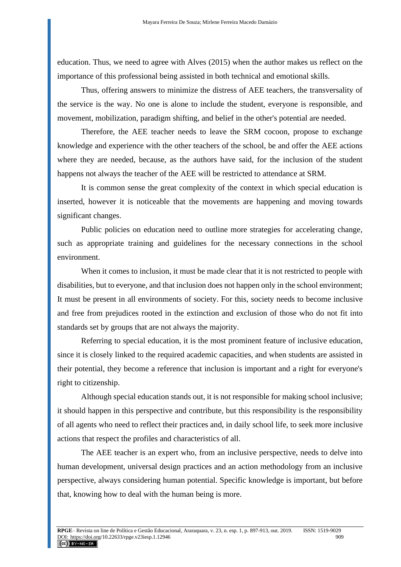education. Thus, we need to agree with Alves (2015) when the author makes us reflect on the importance of this professional being assisted in both technical and emotional skills.

Thus, offering answers to minimize the distress of AEE teachers, the transversality of the service is the way. No one is alone to include the student, everyone is responsible, and movement, mobilization, paradigm shifting, and belief in the other's potential are needed.

Therefore, the AEE teacher needs to leave the SRM cocoon, propose to exchange knowledge and experience with the other teachers of the school, be and offer the AEE actions where they are needed, because, as the authors have said, for the inclusion of the student happens not always the teacher of the AEE will be restricted to attendance at SRM.

It is common sense the great complexity of the context in which special education is inserted, however it is noticeable that the movements are happening and moving towards significant changes.

Public policies on education need to outline more strategies for accelerating change, such as appropriate training and guidelines for the necessary connections in the school environment.

When it comes to inclusion, it must be made clear that it is not restricted to people with disabilities, but to everyone, and that inclusion does not happen only in the school environment; It must be present in all environments of society. For this, society needs to become inclusive and free from prejudices rooted in the extinction and exclusion of those who do not fit into standards set by groups that are not always the majority.

Referring to special education, it is the most prominent feature of inclusive education, since it is closely linked to the required academic capacities, and when students are assisted in their potential, they become a reference that inclusion is important and a right for everyone's right to citizenship.

Although special education stands out, it is not responsible for making school inclusive; it should happen in this perspective and contribute, but this responsibility is the responsibility of all agents who need to reflect their practices and, in daily school life, to seek more inclusive actions that respect the profiles and characteristics of all.

The AEE teacher is an expert who, from an inclusive perspective, needs to delve into human development, universal design practices and an action methodology from an inclusive perspective, always considering human potential. Specific knowledge is important, but before that, knowing how to deal with the human being is more.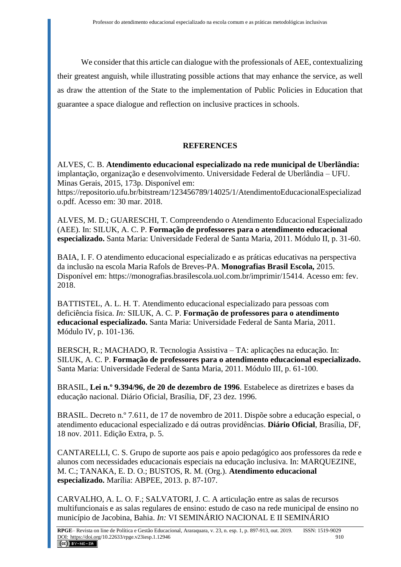We consider that this article can dialogue with the professionals of AEE, contextualizing their greatest anguish, while illustrating possible actions that may enhance the service, as well as draw the attention of the State to the implementation of Public Policies in Education that guarantee a space dialogue and reflection on inclusive practices in schools.

# **REFERENCES**

ALVES, C. B. **Atendimento educacional especializado na rede municipal de Uberlândia:** implantação, organização e desenvolvimento. Universidade Federal de Uberlândia – UFU. Minas Gerais, 2015, 173p. Disponível em:

https://repositorio.ufu.br/bitstream/123456789/14025/1/AtendimentoEducacionalEspecializad o.pdf. Acesso em: 30 mar. 2018.

ALVES, M. D.; GUARESCHI, T. Compreendendo o Atendimento Educacional Especializado (AEE). In: SILUK, A. C. P. **Formação de professores para o atendimento educacional especializado.** Santa Maria: Universidade Federal de Santa Maria, 2011. Módulo II, p. 31-60.

BAIA, I. F. O atendimento educacional especializado e as práticas educativas na perspectiva da inclusão na escola Maria Rafols de Breves-PA. **Monografias Brasil Escola,** 2015. Disponível em: https://monografias.brasilescola.uol.com.br/imprimir/15414. Acesso em: fev. 2018.

BATTISTEL, A. L. H. T. Atendimento educacional especializado para pessoas com deficiência física. *In:* SILUK, A. C. P. **Formação de professores para o atendimento educacional especializado.** Santa Maria: Universidade Federal de Santa Maria, 2011. Módulo IV, p. 101-136.

BERSCH, R.; MACHADO, R. Tecnologia Assistiva – TA: aplicações na educação. In: SILUK, A. C. P. **Formação de professores para o atendimento educacional especializado.** Santa Maria: Universidade Federal de Santa Maria, 2011. Módulo III, p. 61-100.

BRASIL, **Lei n.º 9.394/96, de 20 de dezembro de 1996**. Estabelece as diretrizes e bases da educação nacional. Diário Oficial, Brasília, DF, 23 dez. 1996.

BRASIL. Decreto n.º 7.611, de 17 de novembro de 2011. Dispõe sobre a educação especial, o atendimento educacional especializado e dá outras providências. **Diário Oficial**, Brasília, DF, 18 nov. 2011. Edição Extra, p. 5.

CANTARELLI, C. S. Grupo de suporte aos pais e apoio pedagógico aos professores da rede e alunos com necessidades educacionais especiais na educação inclusiva. In: MARQUEZINE, M. C.; TANAKA, E. D. O.; BUSTOS, R. M. (Org.). **Atendimento educacional especializado.** Marília: ABPEE, 2013. p. 87-107.

CARVALHO, A. L. O. F.; SALVATORI, J. C. A articulação entre as salas de recursos multifuncionais e as salas regulares de ensino: estudo de caso na rede municipal de ensino no município de Jacobina, Bahia. *In:* VI SEMINÁRIO NACIONAL E II SEMINÁRIO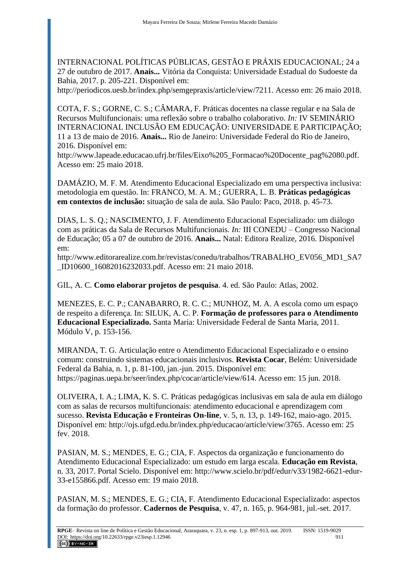INTERNACIONAL POLÍTICAS PÚBLICAS, GESTÃO E PRÁXIS EDUCACIONAL; 24 a 27 de outubro de 2017. **Anais...** Vitória da Conquista: Universidade Estadual do Sudoeste da Bahia, 2017. p. 205-221. Disponível em:

http://periodicos.uesb.br/index.php/semgepraxis/article/view/7211. Acesso em: 26 maio 2018.

COTA, F. S.; GORNE, C. S.; CÂMARA, F. Práticas docentes na classe regular e na Sala de Recursos Multifuncionais: uma reflexão sobre o trabalho colaborativo. *In:* IV SEMINÁRIO INTERNACIONAL INCLUSÃO EM EDUCAÇÃO: UNIVERSIDADE E PARTICIPAÇÃO; 11 a 13 de maio de 2016. **Anais...** Rio de Janeiro: Universidade Federal do Rio de Janeiro, 2016. Disponível em:

http://www.lapeade.educacao.ufrj.br/files/Eixo%205\_Formacao%20Docente\_pag%2080.pdf. Acesso em: 25 maio 2018.

DAMÁZIO, M. F. M. Atendimento Educacional Especializado em uma perspectiva inclusiva: metodologia em questão. In: FRANCO, M. A. M.; GUERRA, L. B. **Práticas pedagógicas em contextos de inclusão:** situação de sala de aula. São Paulo: Paco, 2018. p. 45-73.

DIAS, L. S. Q.; NASCIMENTO, J. F. Atendimento Educacional Especializado: um diálogo com as práticas da Sala de Recursos Multifuncionais. *In:* III CONEDU – Congresso Nacional de Educação; 05 a 07 de outubro de 2016. **Anais...** Natal: Editora Realize, 2016. Disponível em:

http://www.editorarealize.com.br/revistas/conedu/trabalhos/TRABALHO\_EV056\_MD1\_SA7 \_ID10600\_16082016232033.pdf. Acesso em: 21 maio 2018.

GIL, A. C. **Como elaborar projetos de pesquisa**. 4. ed. São Paulo: Atlas, 2002.

MENEZES, E. C. P.; CANABARRO, R. C. C.; MUNHOZ, M. A. A escola como um espaço de respeito a diferença. In: SILUK, A. C. P. **Formação de professores para o Atendimento Educacional Especializado.** Santa Maria: Universidade Federal de Santa Maria, 2011. Módulo V, p. 153-156.

MIRANDA, T. G. Articulação entre o Atendimento Educacional Especializado e o ensino comum: construindo sistemas educacionais inclusivos. **Revista Cocar**, Belém: Universidade Federal da Bahia, n. 1, p. 81-100, jan.-jun. 2015. Disponível em: https://paginas.uepa.br/seer/index.php/cocar/article/view/614. Acesso em: 15 jun. 2018.

OLIVEIRA, I. A.; LIMA, K. S. C. Práticas pedagógicas inclusivas em sala de aula em diálogo com as salas de recursos multifuncionais: atendimento educacional e aprendizagem com sucesso. **Revista Educação e Fronteiras On-line**, v. 5, n. 13, p. 149-162, maio-ago. 2015. Disponível em: http://ojs.ufgd.edu.br/index.php/educacao/article/view/3765. Acesso em: 25 fev. 2018.

PASIAN, M. S.; MENDES, E. G.; CIA, F. Aspectos da organização e funcionamento do Atendimento Educacional Especializado: um estudo em larga escala. **Educação em Revista**, n. 33, 2017. Portal Scielo. Disponível em: http://www.scielo.br/pdf/edur/v33/1982-6621-edur-33-e155866.pdf. Acesso em: 19 maio 2018.

PASIAN, M. S.; MENDES, E. G.; CIA, F. Atendimento Educacional Especializado: aspectos da formação do professor. **Cadernos de Pesquisa**, v. 47, n. 165, p. 964-981, jul.-set. 2017.